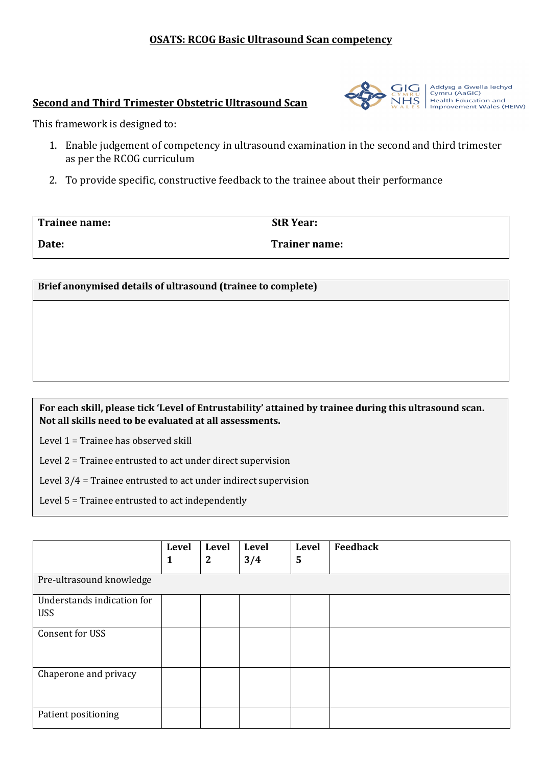### **OSATS: RCOG Basic Ultrasound Scan competency**

### **Second and Third Trimester Obstetric Ultrasound Scan**



Addysg a Gwella lechyd<br>Cymru (AaGIC)<br>Health Education and Improvement Wales (HEIW)

This framework is designed to:

- 1. Enable judgement of competency in ultrasound examination in the second and third trimester as per the RCOG curriculum
- 2. To provide specific, constructive feedback to the trainee about their performance

| Trainee name: | <b>StR Year:</b>     |
|---------------|----------------------|
| Date:         | <b>Trainer name:</b> |

**Brief anonymised details of ultrasound (trainee to complete)**

**For each skill, please tick 'Level of Entrustability' attained by trainee during this ultrasound scan. Not all skills need to be evaluated at all assessments.**

Level 1 = Trainee has observed skill

Level 2 = Trainee entrusted to act under direct supervision

Level 3/4 = Trainee entrusted to act under indirect supervision

Level 5 = Trainee entrusted to act independently

|                                          | <b>Level</b><br>1 | <b>Level</b><br>$\boldsymbol{2}$ | <b>Level</b><br>3/4 | Level<br>5 | Feedback |
|------------------------------------------|-------------------|----------------------------------|---------------------|------------|----------|
| Pre-ultrasound knowledge                 |                   |                                  |                     |            |          |
| Understands indication for<br><b>USS</b> |                   |                                  |                     |            |          |
| Consent for USS                          |                   |                                  |                     |            |          |
| Chaperone and privacy                    |                   |                                  |                     |            |          |
| Patient positioning                      |                   |                                  |                     |            |          |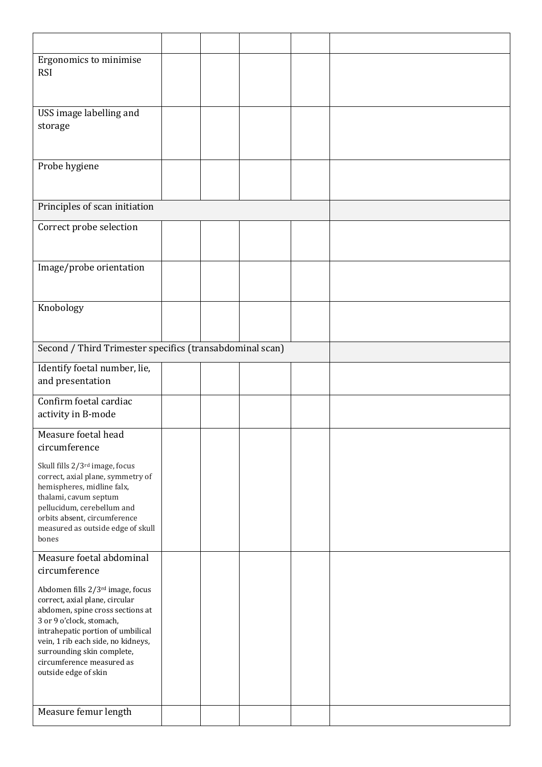| Ergonomics to minimise<br><b>RSI</b>                                                                                                                                                                                                                                                             |  |  |  |
|--------------------------------------------------------------------------------------------------------------------------------------------------------------------------------------------------------------------------------------------------------------------------------------------------|--|--|--|
| USS image labelling and<br>storage                                                                                                                                                                                                                                                               |  |  |  |
| Probe hygiene                                                                                                                                                                                                                                                                                    |  |  |  |
| Principles of scan initiation                                                                                                                                                                                                                                                                    |  |  |  |
| Correct probe selection                                                                                                                                                                                                                                                                          |  |  |  |
| Image/probe orientation                                                                                                                                                                                                                                                                          |  |  |  |
| Knobology                                                                                                                                                                                                                                                                                        |  |  |  |
| Second / Third Trimester specifics (transabdominal scan)                                                                                                                                                                                                                                         |  |  |  |
| Identify foetal number, lie,<br>and presentation                                                                                                                                                                                                                                                 |  |  |  |
| Confirm foetal cardiac<br>activity in B-mode                                                                                                                                                                                                                                                     |  |  |  |
| Measure foetal head<br>circumference                                                                                                                                                                                                                                                             |  |  |  |
| Skull fills 2/3 <sup>rd</sup> image, focus<br>correct, axial plane, symmetry of<br>hemispheres, midline falx,<br>thalami, cavum septum<br>pellucidum, cerebellum and<br>orbits absent, circumference<br>measured as outside edge of skull<br>bones                                               |  |  |  |
| Measure foetal abdominal<br>circumference                                                                                                                                                                                                                                                        |  |  |  |
| Abdomen fills 2/3rd image, focus<br>correct, axial plane, circular<br>abdomen, spine cross sections at<br>3 or 9 o'clock, stomach,<br>intrahepatic portion of umbilical<br>vein, 1 rib each side, no kidneys,<br>surrounding skin complete,<br>circumference measured as<br>outside edge of skin |  |  |  |
| Measure femur length                                                                                                                                                                                                                                                                             |  |  |  |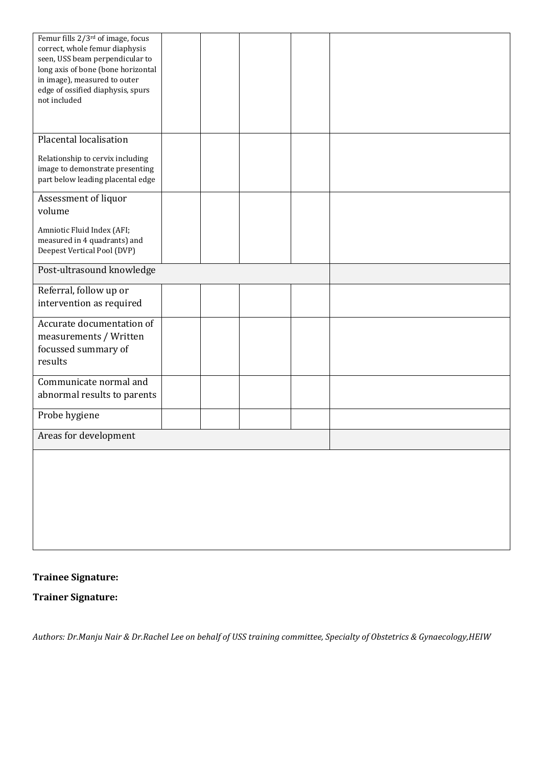| Femur fills 2/3 <sup>rd</sup> of image, focus |  |  |  |
|-----------------------------------------------|--|--|--|
| correct, whole femur diaphysis                |  |  |  |
| seen, USS beam perpendicular to               |  |  |  |
| long axis of bone (bone horizontal            |  |  |  |
| in image), measured to outer                  |  |  |  |
|                                               |  |  |  |
| edge of ossified diaphysis, spurs             |  |  |  |
| not included                                  |  |  |  |
|                                               |  |  |  |
|                                               |  |  |  |
|                                               |  |  |  |
| Placental localisation                        |  |  |  |
|                                               |  |  |  |
| Relationship to cervix including              |  |  |  |
| image to demonstrate presenting               |  |  |  |
|                                               |  |  |  |
| part below leading placental edge             |  |  |  |
|                                               |  |  |  |
| Assessment of liquor                          |  |  |  |
| volume                                        |  |  |  |
|                                               |  |  |  |
| Amniotic Fluid Index (AFI;                    |  |  |  |
| measured in 4 quadrants) and                  |  |  |  |
|                                               |  |  |  |
| Deepest Vertical Pool (DVP)                   |  |  |  |
|                                               |  |  |  |
| Post-ultrasound knowledge                     |  |  |  |
|                                               |  |  |  |
| Referral, follow up or                        |  |  |  |
| intervention as required                      |  |  |  |
|                                               |  |  |  |
| Accurate documentation of                     |  |  |  |
|                                               |  |  |  |
| measurements / Written                        |  |  |  |
| focussed summary of                           |  |  |  |
|                                               |  |  |  |
| results                                       |  |  |  |
|                                               |  |  |  |
| Communicate normal and                        |  |  |  |
|                                               |  |  |  |
| abnormal results to parents                   |  |  |  |
|                                               |  |  |  |
| Probe hygiene                                 |  |  |  |
|                                               |  |  |  |
| Areas for development                         |  |  |  |
|                                               |  |  |  |
|                                               |  |  |  |
|                                               |  |  |  |
|                                               |  |  |  |
|                                               |  |  |  |
|                                               |  |  |  |
|                                               |  |  |  |
|                                               |  |  |  |
|                                               |  |  |  |
|                                               |  |  |  |
|                                               |  |  |  |
|                                               |  |  |  |

# **Trainee Signature:**

**Trainer Signature:**

*Authors: Dr.Manju Nair & Dr.Rachel Lee on behalf of USS training committee, Specialty of Obstetrics & Gynaecology,HEIW*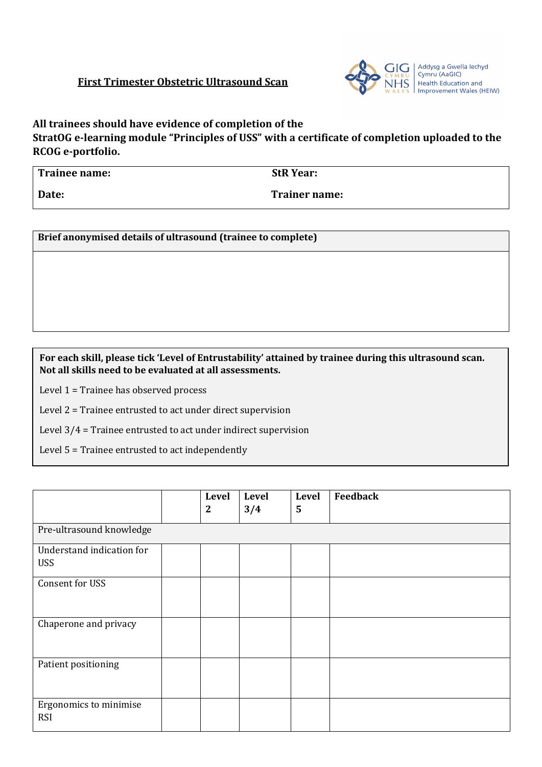## **First Trimester Obstetric Ultrasound Scan**



**All trainees should have evidence of completion of the** 

**StratOG e-learning module "Principles of USS" with a certificate of completion uploaded to the RCOG e-portfolio.**

| Trainee name: | <b>StR Year:</b>     |
|---------------|----------------------|
| Date:         | <b>Trainer name:</b> |

**Brief anonymised details of ultrasound (trainee to complete)**

### **For each skill, please tick 'Level of Entrustability' attained by trainee during this ultrasound scan. Not all skills need to be evaluated at all assessments.**

Level 1 = Trainee has observed process

Level 2 = Trainee entrusted to act under direct supervision

Level 3/4 = Trainee entrusted to act under indirect supervision

Level 5 = Trainee entrusted to act independently

|                                         |  | Level<br>$\mathbf{2}$ | Level<br>3/4 | Level<br>5 | Feedback |  |  |
|-----------------------------------------|--|-----------------------|--------------|------------|----------|--|--|
| Pre-ultrasound knowledge                |  |                       |              |            |          |  |  |
| Understand indication for<br><b>USS</b> |  |                       |              |            |          |  |  |
| Consent for USS                         |  |                       |              |            |          |  |  |
| Chaperone and privacy                   |  |                       |              |            |          |  |  |
| Patient positioning                     |  |                       |              |            |          |  |  |
| Ergonomics to minimise<br><b>RSI</b>    |  |                       |              |            |          |  |  |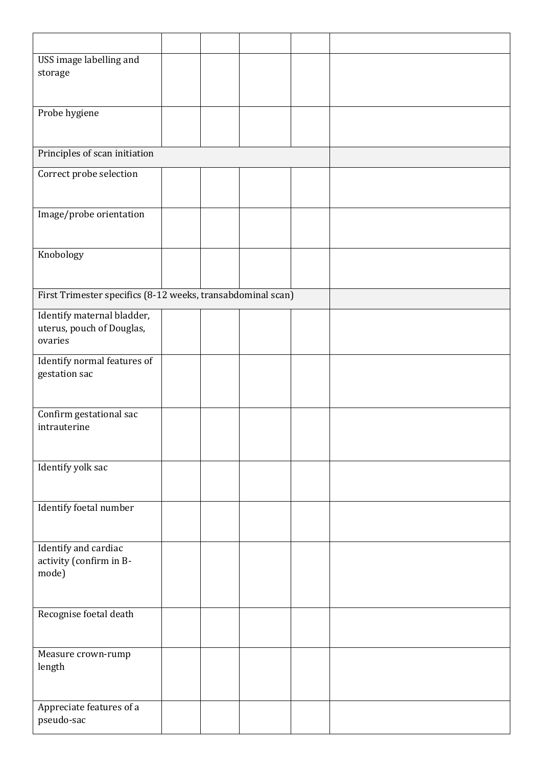| USS image labelling and                                     |  |  |  |
|-------------------------------------------------------------|--|--|--|
| storage                                                     |  |  |  |
|                                                             |  |  |  |
| Probe hygiene                                               |  |  |  |
|                                                             |  |  |  |
|                                                             |  |  |  |
| Principles of scan initiation                               |  |  |  |
|                                                             |  |  |  |
| Correct probe selection                                     |  |  |  |
|                                                             |  |  |  |
|                                                             |  |  |  |
| Image/probe orientation                                     |  |  |  |
|                                                             |  |  |  |
| Knobology                                                   |  |  |  |
|                                                             |  |  |  |
|                                                             |  |  |  |
| First Trimester specifics (8-12 weeks, transabdominal scan) |  |  |  |
|                                                             |  |  |  |
| Identify maternal bladder,                                  |  |  |  |
| uterus, pouch of Douglas,                                   |  |  |  |
| ovaries                                                     |  |  |  |
| Identify normal features of                                 |  |  |  |
| gestation sac                                               |  |  |  |
|                                                             |  |  |  |
|                                                             |  |  |  |
| Confirm gestational sac                                     |  |  |  |
| intrauterine                                                |  |  |  |
|                                                             |  |  |  |
|                                                             |  |  |  |
| Identify yolk sac                                           |  |  |  |
|                                                             |  |  |  |
| Identify foetal number                                      |  |  |  |
|                                                             |  |  |  |
|                                                             |  |  |  |
| Identify and cardiac                                        |  |  |  |
| activity (confirm in B-                                     |  |  |  |
| mode)                                                       |  |  |  |
|                                                             |  |  |  |
|                                                             |  |  |  |
| Recognise foetal death                                      |  |  |  |
|                                                             |  |  |  |
|                                                             |  |  |  |
| Measure crown-rump                                          |  |  |  |
| length                                                      |  |  |  |
|                                                             |  |  |  |
|                                                             |  |  |  |
| Appreciate features of a<br>pseudo-sac                      |  |  |  |
|                                                             |  |  |  |